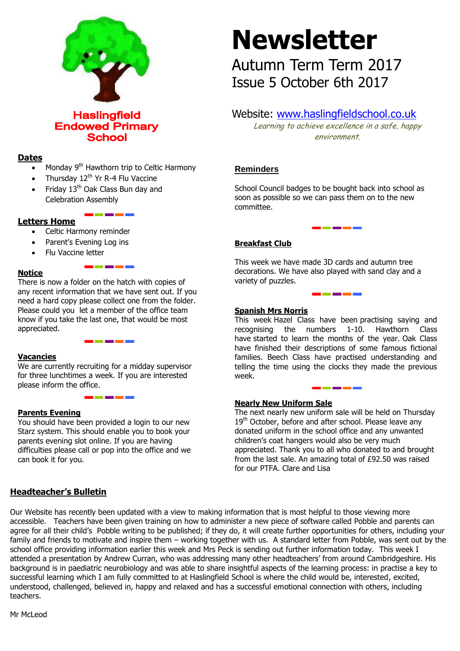

**Haslingfield Endowed Primary School** 

# **Dates**

- Monday 9<sup>th</sup> Hawthorn trip to Celtic Harmony
- Thursday 12<sup>th</sup> Yr R-4 Flu Vaccine
- Friday 13<sup>th</sup> Oak Class Bun day and Celebration Assembly

# **Letters Home**

- Celtic Harmony reminder
- Parent's Evening Log ins
- Flu Vaccine letter

#### **Notice**

There is now a folder on the hatch with copies of any recent information that we have sent out. If you need a hard copy please collect one from the folder. Please could you let a member of the office team know if you take the last one, that would be most appreciated.

\_\_\_\_\_

#### **Vacancies**

We are currently recruiting for a midday supervisor for three lunchtimes a week. If you are interested please inform the office.

#### **Parents Evening**

You should have been provided a login to our new Starz system. This should enable you to book your parents evening slot online. If you are having difficulties please call or pop into the office and we can book it for you.

# **Newsletter**

Autumn Term Term 2017 Issue 5 October 6th 2017

# Website: [www.haslingfieldschool.co.uk](http://www.haslingfieldschool.co.uk/)

Learning to achieve excellence in a safe, happy environment.

# **Reminders**

School Council badges to be bought back into school as soon as possible so we can pass them on to the new committee.

### **Breakfast Club**

This week we have made 3D cards and autumn tree decorations. We have also played with sand clay and a variety of puzzles.

#### **Spanish Mrs Norris**

This week Hazel Class have been practising saying and recognising the numbers 1-10. Hawthorn Class have started to learn the months of the year. Oak Class have finished their descriptions of some famous fictional families. Beech Class have practised understanding and telling the time using the clocks they made the previous week.

<u> a shekara ta 1989 a shekara ta 1989 a shekara ta 1989 a shekara ta 1989 a shekara ta 1989 a Tara</u>

Ï

#### **Nearly New Uniform Sale**

The next nearly new uniform sale will be held on Thursday 19<sup>th</sup> October, before and after school. Please leave any donated uniform in the school office and any unwanted children's coat hangers would also be very much appreciated. Thank you to all who donated to and brought from the last sale. An amazing total of £92.50 was raised for our PTFA. Clare and Lisa

# **Headteacher's Bulletin**

Our Website has recently been updated with a view to making information that is most helpful to those viewing more accessible. Teachers have been given training on how to administer a new piece of software called Pobble and parents can agree for all their child's Pobble writing to be published; if they do, it will create further opportunities for others, including your family and friends to motivate and inspire them – working together with us. A standard letter from Pobble, was sent out by the school office providing information earlier this week and Mrs Peck is sending out further information today. This week I attended a presentation by Andrew Curran, who was addressing many other headteachers' from around Cambridgeshire. His background is in paediatric neurobiology and was able to share insightful aspects of the learning process: in practise a key to successful learning which I am fully committed to at Haslingfield School is where the child would be, interested, excited, understood, challenged, believed in, happy and relaxed and has a successful emotional connection with others, including teachers.

Mr McLeod